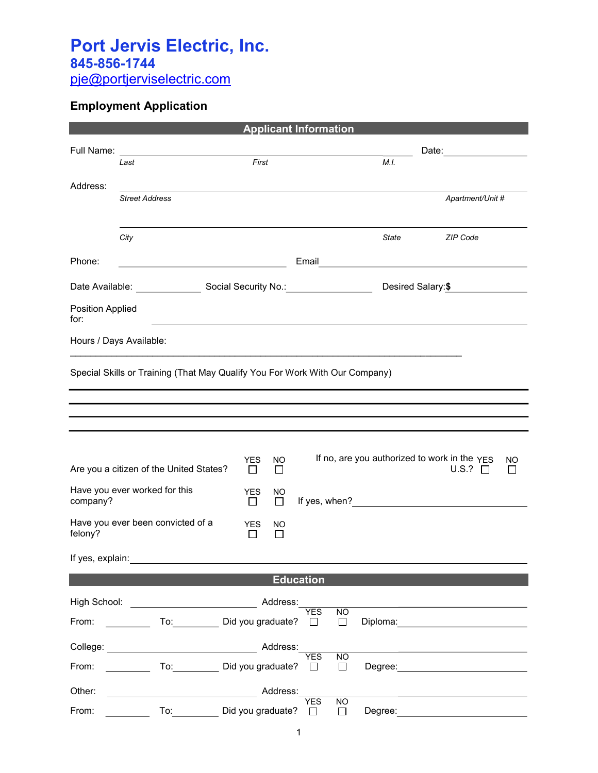## Port Jervis Electric, Inc. 845-856-1744

pje@portjerviselectric.com

## Employment Application

|                                                                                                                                                                                                                                |                                                      |  |                       |                |                       | <b>Applicant Information</b> |                                                                                                                                                                                                                               |                                                              |               |
|--------------------------------------------------------------------------------------------------------------------------------------------------------------------------------------------------------------------------------|------------------------------------------------------|--|-----------------------|----------------|-----------------------|------------------------------|-------------------------------------------------------------------------------------------------------------------------------------------------------------------------------------------------------------------------------|--------------------------------------------------------------|---------------|
|                                                                                                                                                                                                                                |                                                      |  |                       |                |                       | Date: <u>Date:</u>           |                                                                                                                                                                                                                               |                                                              |               |
|                                                                                                                                                                                                                                | Last                                                 |  | First                 |                |                       |                              | M.I.                                                                                                                                                                                                                          |                                                              |               |
| Address:                                                                                                                                                                                                                       | <b>Street Address</b>                                |  |                       |                |                       |                              |                                                                                                                                                                                                                               | Apartment/Unit #                                             |               |
|                                                                                                                                                                                                                                | City                                                 |  |                       |                |                       |                              | State                                                                                                                                                                                                                         | ZIP Code                                                     |               |
| Phone:                                                                                                                                                                                                                         | <u> 1980 - Johann Barn, fransk politik (f. 1980)</u> |  |                       |                |                       |                              |                                                                                                                                                                                                                               | Email <u>___________________________________</u>             |               |
|                                                                                                                                                                                                                                |                                                      |  |                       |                |                       |                              | Desired Salary:\$                                                                                                                                                                                                             |                                                              |               |
| Position Applied<br>for:                                                                                                                                                                                                       |                                                      |  |                       |                |                       |                              |                                                                                                                                                                                                                               |                                                              |               |
|                                                                                                                                                                                                                                | Hours / Days Available:                              |  |                       |                |                       |                              |                                                                                                                                                                                                                               |                                                              |               |
|                                                                                                                                                                                                                                | Are you a citizen of the United States?              |  | YES.<br>$\Box$        | NO.<br>$\Box$  |                       |                              |                                                                                                                                                                                                                               | If no, are you authorized to work in the YES<br>U.S.? $\Box$ | NO<br>$\perp$ |
| company?                                                                                                                                                                                                                       | Have you ever worked for this                        |  | <b>YES</b><br>П       | NO.<br>$\Box$  |                       |                              | If yes, when? The state of the state of the state of the state of the state of the state of the state of the state of the state of the state of the state of the state of the state of the state of the state of the state of |                                                              |               |
| felony?                                                                                                                                                                                                                        | Have you ever been convicted of a                    |  | <b>YES</b><br>$\perp$ | NO.<br>$\perp$ |                       |                              |                                                                                                                                                                                                                               |                                                              |               |
| If yes, explain:                                                                                                                                                                                                               |                                                      |  |                       |                |                       |                              |                                                                                                                                                                                                                               |                                                              |               |
|                                                                                                                                                                                                                                |                                                      |  |                       |                | <b>Education</b>      |                              |                                                                                                                                                                                                                               |                                                              |               |
|                                                                                                                                                                                                                                | High School: <u>www.community.com</u>                |  |                       | Address:       | <b>YES</b>            | $\overline{NO}$              |                                                                                                                                                                                                                               |                                                              |               |
| From: The contract of the contract of the contract of the contract of the contract of the contract of the contract of the contract of the contract of the contract of the contract of the contract of the contract of the cont | To: Did you graduate? □                              |  |                       |                |                       | $\Box$                       | Diploma:                                                                                                                                                                                                                      |                                                              |               |
|                                                                                                                                                                                                                                |                                                      |  |                       |                |                       |                              |                                                                                                                                                                                                                               |                                                              |               |
| From:                                                                                                                                                                                                                          | To: Did you graduate? □                              |  |                       |                | <b>YES</b>            | <b>NO</b><br>$\Box$          |                                                                                                                                                                                                                               |                                                              |               |
| Other:                                                                                                                                                                                                                         |                                                      |  |                       | Address:       |                       |                              |                                                                                                                                                                                                                               |                                                              |               |
| From:                                                                                                                                                                                                                          | To: Did you graduate?                                |  |                       |                | <b>YES</b><br>$\perp$ | $\overline{NO}$<br>$\perp$   | Degree:                                                                                                                                                                                                                       |                                                              |               |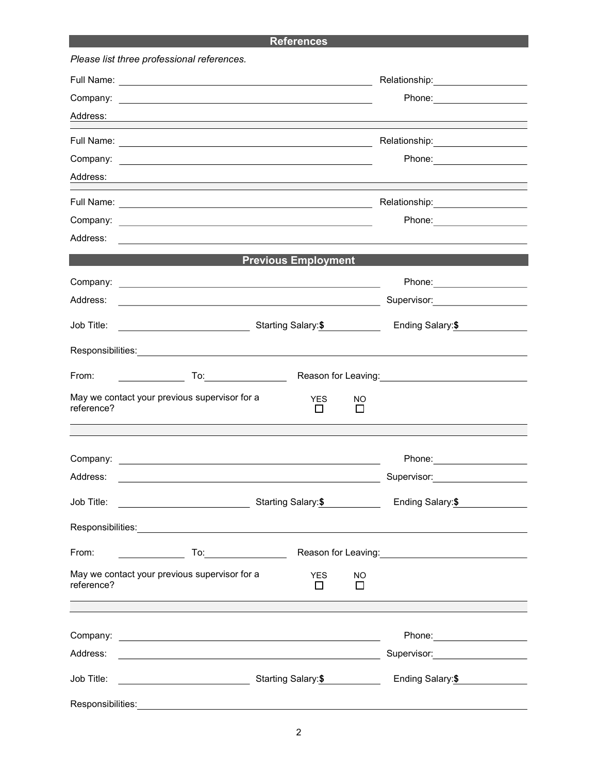## **References**

|                   | Please list three professional references.                                                                                                                                                                                                                                     |                            |                |                                                                                                                 |
|-------------------|--------------------------------------------------------------------------------------------------------------------------------------------------------------------------------------------------------------------------------------------------------------------------------|----------------------------|----------------|-----------------------------------------------------------------------------------------------------------------|
|                   |                                                                                                                                                                                                                                                                                |                            |                | Relationship: ___________________                                                                               |
|                   | Company: <u>example and the company</u> company of the company of the company of the company of the company of the company of the company of the company of the company of the company of the company of the company of the company                                            |                            |                | Phone: ________________                                                                                         |
|                   |                                                                                                                                                                                                                                                                                |                            |                |                                                                                                                 |
|                   |                                                                                                                                                                                                                                                                                |                            |                | Relationship: \\square\\square\\square\\square\\square\\square\\square\\square\\square\\square\\square\\square\ |
|                   |                                                                                                                                                                                                                                                                                |                            |                | Phone: _______________________                                                                                  |
| Address:          |                                                                                                                                                                                                                                                                                |                            |                |                                                                                                                 |
|                   |                                                                                                                                                                                                                                                                                |                            |                | Relationship: 2000                                                                                              |
|                   |                                                                                                                                                                                                                                                                                |                            |                | Phone: _________________                                                                                        |
| Address:          | <u>state and the state of the state of the state of the state of the state of the state of the state of the state of the state of the state of the state of the state of the state of the state of the state of the state of the</u>                                           |                            |                |                                                                                                                 |
|                   |                                                                                                                                                                                                                                                                                | <b>Previous Employment</b> |                |                                                                                                                 |
|                   |                                                                                                                                                                                                                                                                                |                            |                | Phone: ______________________                                                                                   |
|                   |                                                                                                                                                                                                                                                                                |                            |                | Supervisor:____________________                                                                                 |
|                   | Job Title: <u>_________________________</u>                                                                                                                                                                                                                                    | Starting Salary:\$         |                | Ending Salary:\$                                                                                                |
|                   | Responsibilities: New York State State State State State State State State State State State State State State State State State State State State State State State State State State State State State State State State Sta                                                 |                            |                |                                                                                                                 |
| From:             |                                                                                                                                                                                                                                                                                |                            |                | Reason for Leaving: <u>_________________________________</u>                                                    |
| reference?        | May we contact your previous supervisor for a<br>the control of the control of the control of the control of the control of the control of the control of the control of the control of the control of the control of the control of the control of the control of the control | <b>YES</b><br>$\perp$      | NO.<br>$\perp$ |                                                                                                                 |
|                   |                                                                                                                                                                                                                                                                                |                            |                |                                                                                                                 |
|                   |                                                                                                                                                                                                                                                                                |                            |                |                                                                                                                 |
| Address:          | <u> 1989 - Johann Barbara, martin amerikan basar dan berasal dan berasal dalam basar dalam basar dalam basar dala</u>                                                                                                                                                          |                            |                | Supervisor: ___________________                                                                                 |
| Job Title:        | <u> 1980 - Andrea Barbara, poeta esperanto-</u>                                                                                                                                                                                                                                | Starting Salary:\$         |                | Ending Salary:\$                                                                                                |
|                   |                                                                                                                                                                                                                                                                                |                            |                |                                                                                                                 |
| From:             |                                                                                                                                                                                                                                                                                |                            |                | Reason for Leaving: <u>___________________________________</u>                                                  |
| reference?        | May we contact your previous supervisor for a                                                                                                                                                                                                                                  | <b>YES</b><br>П            | NO<br>$\Box$   |                                                                                                                 |
|                   |                                                                                                                                                                                                                                                                                |                            |                |                                                                                                                 |
|                   |                                                                                                                                                                                                                                                                                |                            |                | Phone: _______________________                                                                                  |
| Address:          |                                                                                                                                                                                                                                                                                |                            |                | Supervisor: <u>_____________________</u>                                                                        |
| Job Title:        |                                                                                                                                                                                                                                                                                |                            |                | Ending Salary:\$                                                                                                |
| Responsibilities: |                                                                                                                                                                                                                                                                                |                            |                |                                                                                                                 |